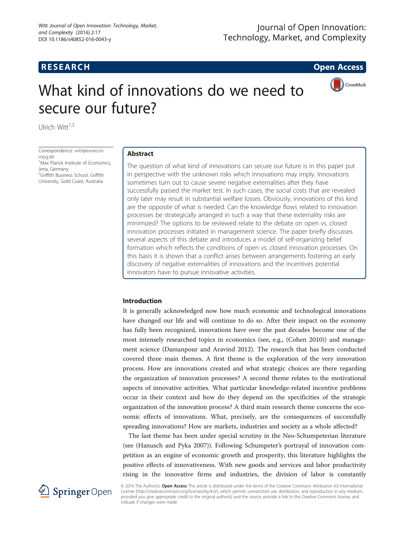# **RESEARCH RESEARCH CONSUMING ACCESS**

CrossMark

# What kind of innovations do we need to secure our future?

Ulrich Witt $1,2$ 

Correspondence: [witt@evoecon.](mailto:witt@evoecon.mpg.de) [mpg.de](mailto:witt@evoecon.mpg.de) <sup>1</sup> Max Planck Institute of Economics, Jena, Germany 2 Griffith Business School, Griffith University, Gold Coast, Australia

## Abstract

The question of what kind of innovations can secure our future is in this paper put in perspective with the unknown risks which innovations may imply. Innovations sometimes turn out to cause severe negative externalities after they have successfully passed the market test. In such cases, the social costs that are revealed only later may result in substantial welfare losses. Obviously, innovations of this kind are the opposite of what is needed. Can the knowledge flows related to innovation processes be strategically arranged in such a way that these externality risks are minimized? The options to be reviewed relate to the debate on open vs. closed innovation processes initiated in management science. The paper briefly discusses several aspects of this debate and introduces a model of self-organizing belief formation which reflects the conditions of open vs. closed innovation processes. On this basis it is shown that a conflict arises between arrangements fostering an early discovery of negative externalities of innovations and the incentives potential innovators have to pursue innovative activities.

#### Introduction

It is generally acknowledged now how much economic and technological innovations have changed our life and will continue to do so. After their impact on the economy has fully been recognized, innovations have over the past decades become one of the most intensely researched topics in economics (see, e.g., (Cohen [2010](#page-13-0))) and management science (Damanpour and Aravind [2012](#page-13-0)). The research that has been conducted covered three main themes. A first theme is the exploration of the very innovation process. How are innovations created and what strategic choices are there regarding the organization of innovation processes? A second theme relates to the motivational aspects of innovative activities. What particular knowledge-related incentive problems occur in their context and how do they depend on the specificities of the strategic organization of the innovation process? A third main research theme concerns the economic effects of innovations. What, precisely, are the consequences of successfully spreading innovations? How are markets, industries and society as a whole affected?

The last theme has been under special scrutiny in the Neo-Schumpeterian literature (see (Hanusch and Pyka [2007](#page-13-0))). Following Schumpeter's portrayal of innovation competition as an engine of economic growth and prosperity, this literature highlights the positive effects of innovativeness. With new goods and services and labor productivity rising in the innovative firms and industries, the division of labor is constantly



© 2016 The Author(s). Open Access This article is distributed under the terms of the Creative Commons Attribution 4.0 International License [\(http://creativecommons.org/licenses/by/4.0/](http://creativecommons.org/licenses/by/4.0/)), which permits unrestricted use, distribution, and reproduction in any medium, provided you give appropriate credit to the original author(s) and the source, provide a link to the Creative Commons license, and indicate if changes were made.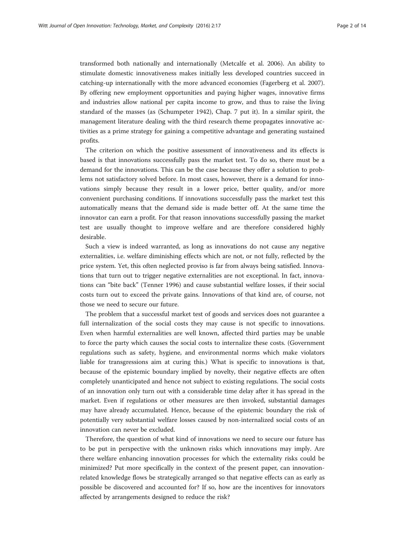transformed both nationally and internationally (Metcalfe et al. [2006\)](#page-13-0). An ability to stimulate domestic innovativeness makes initially less developed countries succeed in catching-up internationally with the more advanced economies (Fagerberg et al. [2007](#page-13-0)). By offering new employment opportunities and paying higher wages, innovative firms and industries allow national per capita income to grow, and thus to raise the living standard of the masses (as (Schumpeter [1942](#page-13-0)), Chap. 7 put it). In a similar spirit, the management literature dealing with the third research theme propagates innovative activities as a prime strategy for gaining a competitive advantage and generating sustained profits.

The criterion on which the positive assessment of innovativeness and its effects is based is that innovations successfully pass the market test. To do so, there must be a demand for the innovations. This can be the case because they offer a solution to problems not satisfactory solved before. In most cases, however, there is a demand for innovations simply because they result in a lower price, better quality, and/or more convenient purchasing conditions. If innovations successfully pass the market test this automatically means that the demand side is made better off. At the same time the innovator can earn a profit. For that reason innovations successfully passing the market test are usually thought to improve welfare and are therefore considered highly desirable.

Such a view is indeed warranted, as long as innovations do not cause any negative externalities, i.e. welfare diminishing effects which are not, or not fully, reflected by the price system. Yet, this often neglected proviso is far from always being satisfied. Innovations that turn out to trigger negative externalities are not exceptional. In fact, innovations can "bite back" (Tenner [1996](#page-13-0)) and cause substantial welfare losses, if their social costs turn out to exceed the private gains. Innovations of that kind are, of course, not those we need to secure our future.

The problem that a successful market test of goods and services does not guarantee a full internalization of the social costs they may cause is not specific to innovations. Even when harmful externalities are well known, affected third parties may be unable to force the party which causes the social costs to internalize these costs. (Government regulations such as safety, hygiene, and environmental norms which make violators liable for transgressions aim at curing this.) What is specific to innovations is that, because of the epistemic boundary implied by novelty, their negative effects are often completely unanticipated and hence not subject to existing regulations. The social costs of an innovation only turn out with a considerable time delay after it has spread in the market. Even if regulations or other measures are then invoked, substantial damages may have already accumulated. Hence, because of the epistemic boundary the risk of potentially very substantial welfare losses caused by non-internalized social costs of an innovation can never be excluded.

Therefore, the question of what kind of innovations we need to secure our future has to be put in perspective with the unknown risks which innovations may imply. Are there welfare enhancing innovation processes for which the externality risks could be minimized? Put more specifically in the context of the present paper, can innovationrelated knowledge flows be strategically arranged so that negative effects can as early as possible be discovered and accounted for? If so, how are the incentives for innovators affected by arrangements designed to reduce the risk?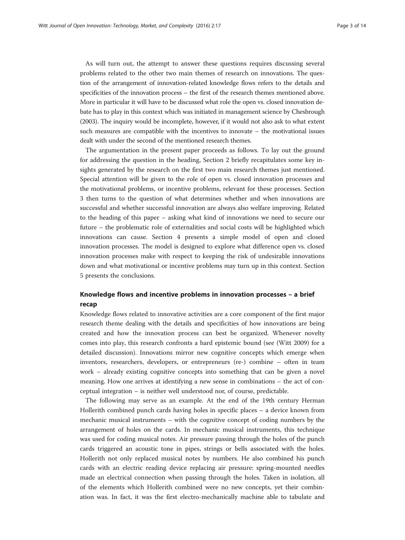As will turn out, the attempt to answer these questions requires discussing several problems related to the other two main themes of research on innovations. The question of the arrangement of innovation-related knowledge flows refers to the details and specificities of the innovation process – the first of the research themes mentioned above. More in particular it will have to be discussed what role the open vs. closed innovation debate has to play in this context which was initiated in management science by Chesbrough ([2003\)](#page-13-0). The inquiry would be incomplete, however, if it would not also ask to what extent such measures are compatible with the incentives to innovate – the motivational issues dealt with under the second of the mentioned research themes.

The argumentation in the present paper proceeds as follows. To lay out the ground for addressing the question in the heading, Section 2 briefly recapitulates some key insights generated by the research on the first two main research themes just mentioned. Special attention will be given to the role of open vs. closed innovation processes and the motivational problems, or incentive problems, relevant for these processes. Section 3 then turns to the question of what determines whether and when innovations are successful and whether successful innovation are always also welfare improving. Related to the heading of this paper – asking what kind of innovations we need to secure our future – the problematic role of externalities and social costs will be highlighted which innovations can cause. Section 4 presents a simple model of open and closed innovation processes. The model is designed to explore what difference open vs. closed innovation processes make with respect to keeping the risk of undesirable innovations down and what motivational or incentive problems may turn up in this context. Section 5 presents the conclusions.

# Knowledge flows and incentive problems in innovation processes – a brief recap

Knowledge flows related to innovative activities are a core component of the first major research theme dealing with the details and specificities of how innovations are being created and how the innovation process can best be organized. Whenever novelty comes into play, this research confronts a hard epistemic bound (see (Witt [2009\)](#page-13-0) for a detailed discussion). Innovations mirror new cognitive concepts which emerge when inventors, researchers, developers, or entrepreneurs (re-) combine – often in team work – already existing cognitive concepts into something that can be given a novel meaning. How one arrives at identifying a new sense in combinations – the act of conceptual integration – is neither well understood nor, of course, predictable.

The following may serve as an example. At the end of the 19th century Herman Hollerith combined punch cards having holes in specific places – a device known from mechanic musical instruments – with the cognitive concept of coding numbers by the arrangement of holes on the cards. In mechanic musical instruments, this technique was used for coding musical notes. Air pressure passing through the holes of the punch cards triggered an acoustic tone in pipes, strings or bells associated with the holes. Hollerith not only replaced musical notes by numbers. He also combined his punch cards with an electric reading device replacing air pressure: spring-mounted needles made an electrical connection when passing through the holes. Taken in isolation, all of the elements which Hollerith combined were no new concepts, yet their combination was. In fact, it was the first electro-mechanically machine able to tabulate and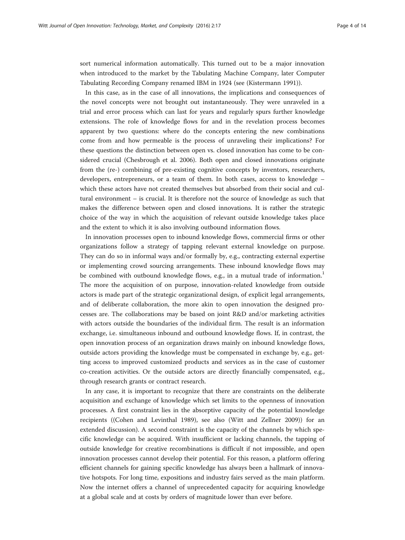sort numerical information automatically. This turned out to be a major innovation when introduced to the market by the Tabulating Machine Company, later Computer Tabulating Recording Company renamed IBM in 1924 (see (Kistermann [1991\)](#page-13-0)).

In this case, as in the case of all innovations, the implications and consequences of the novel concepts were not brought out instantaneously. They were unraveled in a trial and error process which can last for years and regularly spurs further knowledge extensions. The role of knowledge flows for and in the revelation process becomes apparent by two questions: where do the concepts entering the new combinations come from and how permeable is the process of unraveling their implications? For these questions the distinction between open vs. closed innovation has come to be considered crucial (Chesbrough et al. [2006\)](#page-13-0). Both open and closed innovations originate from the (re-) combining of pre-existing cognitive concepts by inventors, researchers, developers, entrepreneurs, or a team of them. In both cases, access to knowledge – which these actors have not created themselves but absorbed from their social and cultural environment – is crucial. It is therefore not the source of knowledge as such that makes the difference between open and closed innovations. It is rather the strategic choice of the way in which the acquisition of relevant outside knowledge takes place and the extent to which it is also involving outbound information flows.

In innovation processes open to inbound knowledge flows, commercial firms or other organizations follow a strategy of tapping relevant external knowledge on purpose. They can do so in informal ways and/or formally by, e.g., contracting external expertise or implementing crowd sourcing arrangements. These inbound knowledge flows may be combined with outbound knowledge flows, e.g., in a mutual trade of information.<sup>1</sup> The more the acquisition of on purpose, innovation-related knowledge from outside actors is made part of the strategic organizational design, of explicit legal arrangements, and of deliberate collaboration, the more akin to open innovation the designed processes are. The collaborations may be based on joint R&D and/or marketing activities with actors outside the boundaries of the individual firm. The result is an information exchange, i.e. simultaneous inbound and outbound knowledge flows. If, in contrast, the open innovation process of an organization draws mainly on inbound knowledge flows, outside actors providing the knowledge must be compensated in exchange by, e.g., getting access to improved customized products and services as in the case of customer co-creation activities. Or the outside actors are directly financially compensated, e.g., through research grants or contract research.

In any case, it is important to recognize that there are constraints on the deliberate acquisition and exchange of knowledge which set limits to the openness of innovation processes. A first constraint lies in the absorptive capacity of the potential knowledge recipients ((Cohen and Levinthal [1989\)](#page-13-0), see also (Witt and Zellner [2009\)](#page-13-0)) for an extended discussion). A second constraint is the capacity of the channels by which specific knowledge can be acquired. With insufficient or lacking channels, the tapping of outside knowledge for creative recombinations is difficult if not impossible, and open innovation processes cannot develop their potential. For this reason, a platform offering efficient channels for gaining specific knowledge has always been a hallmark of innovative hotspots. For long time, expositions and industry fairs served as the main platform. Now the internet offers a channel of unprecedented capacity for acquiring knowledge at a global scale and at costs by orders of magnitude lower than ever before.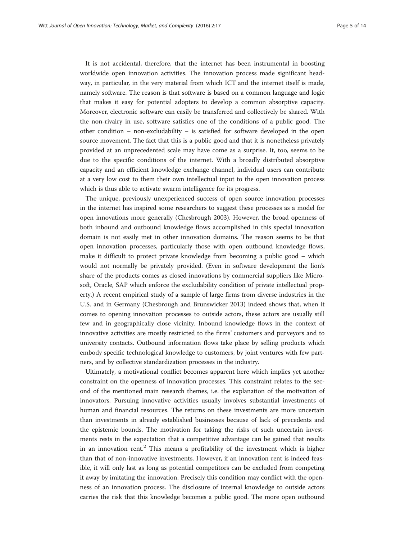It is not accidental, therefore, that the internet has been instrumental in boosting worldwide open innovation activities. The innovation process made significant headway, in particular, in the very material from which ICT and the internet itself is made, namely software. The reason is that software is based on a common language and logic that makes it easy for potential adopters to develop a common absorptive capacity. Moreover, electronic software can easily be transferred and collectively be shared. With the non-rivalry in use, software satisfies one of the conditions of a public good. The other condition – non-excludability – is satisfied for software developed in the open source movement. The fact that this is a public good and that it is nonetheless privately provided at an unprecedented scale may have come as a surprise. It, too, seems to be due to the specific conditions of the internet. With a broadly distributed absorptive capacity and an efficient knowledge exchange channel, individual users can contribute at a very low cost to them their own intellectual input to the open innovation process which is thus able to activate swarm intelligence for its progress.

The unique, previously unexperienced success of open source innovation processes in the internet has inspired some researchers to suggest these processes as a model for open innovations more generally (Chesbrough [2003\)](#page-13-0). However, the broad openness of both inbound and outbound knowledge flows accomplished in this special innovation domain is not easily met in other innovation domains. The reason seems to be that open innovation processes, particularly those with open outbound knowledge flows, make it difficult to protect private knowledge from becoming a public good – which would not normally be privately provided. (Even in software development the lion's share of the products comes as closed innovations by commercial suppliers like Microsoft, Oracle, SAP which enforce the excludability condition of private intellectual property.) A recent empirical study of a sample of large firms from diverse industries in the U.S. and in Germany (Chesbrough and Brunswicker [2013](#page-13-0)) indeed shows that, when it comes to opening innovation processes to outside actors, these actors are usually still few and in geographically close vicinity. Inbound knowledge flows in the context of innovative activities are mostly restricted to the firms' customers and purveyors and to university contacts. Outbound information flows take place by selling products which embody specific technological knowledge to customers, by joint ventures with few partners, and by collective standardization processes in the industry.

Ultimately, a motivational conflict becomes apparent here which implies yet another constraint on the openness of innovation processes. This constraint relates to the second of the mentioned main research themes, i.e. the explanation of the motivation of innovators. Pursuing innovative activities usually involves substantial investments of human and financial resources. The returns on these investments are more uncertain than investments in already established businesses because of lack of precedents and the epistemic bounds. The motivation for taking the risks of such uncertain investments rests in the expectation that a competitive advantage can be gained that results in an innovation rent.<sup>2</sup> This means a profitability of the investment which is higher than that of non-innovative investments. However, if an innovation rent is indeed feasible, it will only last as long as potential competitors can be excluded from competing it away by imitating the innovation. Precisely this condition may conflict with the openness of an innovation process. The disclosure of internal knowledge to outside actors carries the risk that this knowledge becomes a public good. The more open outbound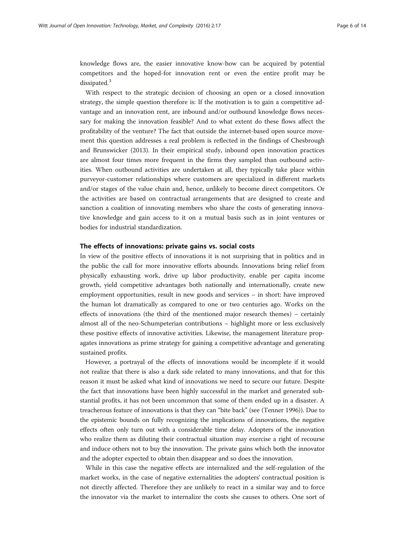knowledge flows are, the easier innovative know-how can be acquired by potential competitors and the hoped-for innovation rent or even the entire profit may be dissipated.<sup>3</sup>

With respect to the strategic decision of choosing an open or a closed innovation strategy, the simple question therefore is: If the motivation is to gain a competitive advantage and an innovation rent, are inbound and/or outbound knowledge flows necessary for making the innovation feasible? And to what extent do these flows affect the profitability of the venture? The fact that outside the internet-based open source movement this question addresses a real problem is reflected in the findings of Chesbrough and Brunswicker [\(2013\)](#page-13-0). In their empirical study, inbound open innovation practices are almost four times more frequent in the firms they sampled than outbound activities. When outbound activities are undertaken at all, they typically take place within purveyor-customer relationships where customers are specialized in different markets and/or stages of the value chain and, hence, unlikely to become direct competitors. Or the activities are based on contractual arrangements that are designed to create and sanction a coalition of innovating members who share the costs of generating innovative knowledge and gain access to it on a mutual basis such as in joint ventures or bodies for industrial standardization.

#### The effects of innovations: private gains vs. social costs

In view of the positive effects of innovations it is not surprising that in politics and in the public the call for more innovative efforts abounds. Innovations bring relief from physically exhausting work, drive up labor productivity, enable per capita income growth, yield competitive advantages both nationally and internationally, create new employment opportunities, result in new goods and services – in short: have improved the human lot dramatically as compared to one or two centuries ago. Works on the effects of innovations (the third of the mentioned major research themes) – certainly almost all of the neo-Schumpeterian contributions – highlight more or less exclusively these positive effects of innovative activities. Likewise, the management literature propagates innovations as prime strategy for gaining a competitive advantage and generating sustained profits.

However, a portrayal of the effects of innovations would be incomplete if it would not realize that there is also a dark side related to many innovations, and that for this reason it must be asked what kind of innovations we need to secure our future. Despite the fact that innovations have been highly successful in the market and generated substantial profits, it has not been uncommon that some of them ended up in a disaster. A treacherous feature of innovations is that they can "bite back" (see (Tenner [1996](#page-13-0))). Due to the epistemic bounds on fully recognizing the implications of innovations, the negative effects often only turn out with a considerable time delay. Adopters of the innovation who realize them as diluting their contractual situation may exercise a right of recourse and induce others not to buy the innovation. The private gains which both the innovator and the adopter expected to obtain then disappear and so does the innovation.

While in this case the negative effects are internalized and the self-regulation of the market works, in the case of negative externalities the adopters' contractual position is not directly affected. Therefore they are unlikely to react in a similar way and to force the innovator via the market to internalize the costs she causes to others. One sort of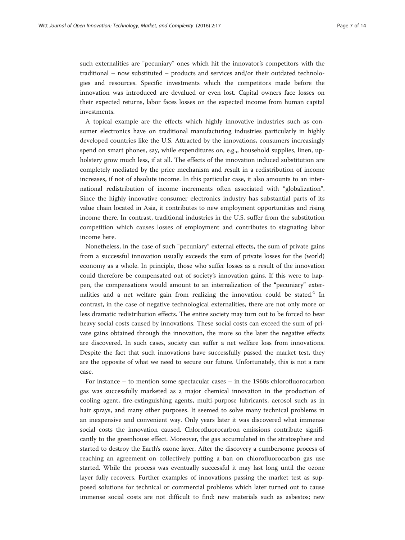such externalities are "pecuniary" ones which hit the innovator's competitors with the traditional – now substituted – products and services and/or their outdated technologies and resources. Specific investments which the competitors made before the innovation was introduced are devalued or even lost. Capital owners face losses on their expected returns, labor faces losses on the expected income from human capital investments.

A topical example are the effects which highly innovative industries such as consumer electronics have on traditional manufacturing industries particularly in highly developed countries like the U.S. Attracted by the innovations, consumers increasingly spend on smart phones, say, while expenditures on, e.g.,, household supplies, linen, upholstery grow much less, if at all. The effects of the innovation induced substitution are completely mediated by the price mechanism and result in a redistribution of income increases, if not of absolute income. In this particular case, it also amounts to an international redistribution of income increments often associated with "globalization". Since the highly innovative consumer electronics industry has substantial parts of its value chain located in Asia, it contributes to new employment opportunities and rising income there. In contrast, traditional industries in the U.S. suffer from the substitution competition which causes losses of employment and contributes to stagnating labor income here.

Nonetheless, in the case of such "pecuniary" external effects, the sum of private gains from a successful innovation usually exceeds the sum of private losses for the (world) economy as a whole. In principle, those who suffer losses as a result of the innovation could therefore be compensated out of society's innovation gains. If this were to happen, the compensations would amount to an internalization of the "pecuniary" externalities and a net welfare gain from realizing the innovation could be stated. $4\ \text{In}$ contrast, in the case of negative technological externalities, there are not only more or less dramatic redistribution effects. The entire society may turn out to be forced to bear heavy social costs caused by innovations. These social costs can exceed the sum of private gains obtained through the innovation, the more so the later the negative effects are discovered. In such cases, society can suffer a net welfare loss from innovations. Despite the fact that such innovations have successfully passed the market test, they are the opposite of what we need to secure our future. Unfortunately, this is not a rare case.

For instance – to mention some spectacular cases – in the 1960s chlorofluorocarbon gas was successfully marketed as a major chemical innovation in the production of cooling agent, fire-extinguishing agents, multi-purpose lubricants, aerosol such as in hair sprays, and many other purposes. It seemed to solve many technical problems in an inexpensive and convenient way. Only years later it was discovered what immense social costs the innovation caused. Chlorofluorocarbon emissions contribute significantly to the greenhouse effect. Moreover, the gas accumulated in the stratosphere and started to destroy the Earth's ozone layer. After the discovery a cumbersome process of reaching an agreement on collectively putting a ban on chlorofluorocarbon gas use started. While the process was eventually successful it may last long until the ozone layer fully recovers. Further examples of innovations passing the market test as supposed solutions for technical or commercial problems which later turned out to cause immense social costs are not difficult to find: new materials such as asbestos; new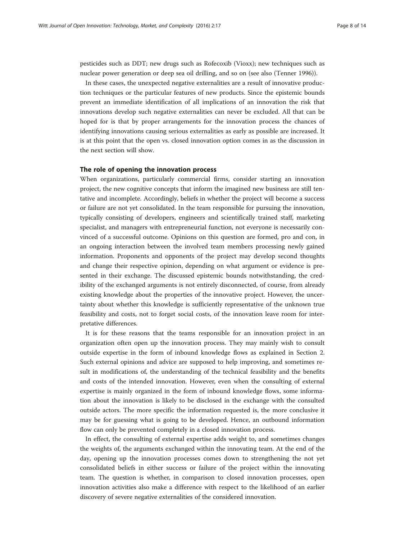pesticides such as DDT; new drugs such as Rofecoxib (Vioxx); new techniques such as nuclear power generation or deep sea oil drilling, and so on (see also (Tenner [1996\)](#page-13-0)).

In these cases, the unexpected negative externalities are a result of innovative production techniques or the particular features of new products. Since the epistemic bounds prevent an immediate identification of all implications of an innovation the risk that innovations develop such negative externalities can never be excluded. All that can be hoped for is that by proper arrangements for the innovation process the chances of identifying innovations causing serious externalities as early as possible are increased. It is at this point that the open vs. closed innovation option comes in as the discussion in the next section will show.

#### The role of opening the innovation process

When organizations, particularly commercial firms, consider starting an innovation project, the new cognitive concepts that inform the imagined new business are still tentative and incomplete. Accordingly, beliefs in whether the project will become a success or failure are not yet consolidated. In the team responsible for pursuing the innovation, typically consisting of developers, engineers and scientifically trained staff, marketing specialist, and managers with entrepreneurial function, not everyone is necessarily convinced of a successful outcome. Opinions on this question are formed, pro and con, in an ongoing interaction between the involved team members processing newly gained information. Proponents and opponents of the project may develop second thoughts and change their respective opinion, depending on what argument or evidence is presented in their exchange. The discussed epistemic bounds notwithstanding, the credibility of the exchanged arguments is not entirely disconnected, of course, from already existing knowledge about the properties of the innovative project. However, the uncertainty about whether this knowledge is sufficiently representative of the unknown true feasibility and costs, not to forget social costs, of the innovation leave room for interpretative differences.

It is for these reasons that the teams responsible for an innovation project in an organization often open up the innovation process. They may mainly wish to consult outside expertise in the form of inbound knowledge flows as explained in Section 2. Such external opinions and advice are supposed to help improving, and sometimes result in modifications of, the understanding of the technical feasibility and the benefits and costs of the intended innovation. However, even when the consulting of external expertise is mainly organized in the form of inbound knowledge flows, some information about the innovation is likely to be disclosed in the exchange with the consulted outside actors. The more specific the information requested is, the more conclusive it may be for guessing what is going to be developed. Hence, an outbound information flow can only be prevented completely in a closed innovation process.

In effect, the consulting of external expertise adds weight to, and sometimes changes the weights of, the arguments exchanged within the innovating team. At the end of the day, opening up the innovation processes comes down to strengthening the not yet consolidated beliefs in either success or failure of the project within the innovating team. The question is whether, in comparison to closed innovation processes, open innovation activities also make a difference with respect to the likelihood of an earlier discovery of severe negative externalities of the considered innovation.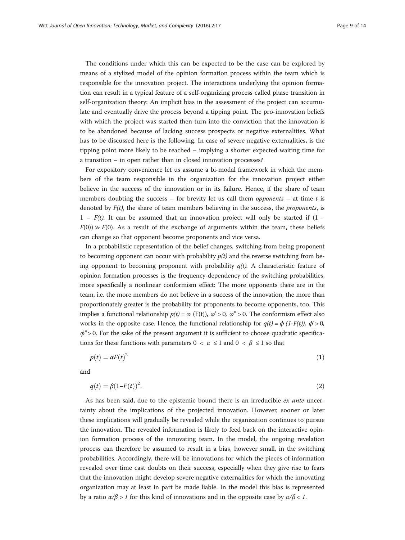<span id="page-8-0"></span>The conditions under which this can be expected to be the case can be explored by means of a stylized model of the opinion formation process within the team which is responsible for the innovation project. The interactions underlying the opinion formation can result in a typical feature of a self-organizing process called phase transition in self-organization theory: An implicit bias in the assessment of the project can accumulate and eventually drive the process beyond a tipping point. The pro-innovation beliefs with which the project was started then turn into the conviction that the innovation is to be abandoned because of lacking success prospects or negative externalities. What has to be discussed here is the following. In case of severe negative externalities, is the tipping point more likely to be reached – implying a shorter expected waiting time for a transition – in open rather than in closed innovation processes?

For expository convenience let us assume a bi-modal framework in which the members of the team responsible in the organization for the innovation project either believe in the success of the innovation or in its failure. Hence, if the share of team members doubting the success – for brevity let us call them *opponents* – at time  $t$  is denoted by  $F(t)$ , the share of team members believing in the success, the *proponents*, is  $1 - F(t)$ . It can be assumed that an innovation project will only be started if (1 −  $F(0)$ )  $\gg F(0)$ . As a result of the exchange of arguments within the team, these beliefs can change so that opponent become proponents and vice versa.

In a probabilistic representation of the belief changes, switching from being proponent to becoming opponent can occur with probability  $p(t)$  and the reverse switching from being opponent to becoming proponent with probability  $q(t)$ . A characteristic feature of opinion formation processes is the frequency-dependency of the switching probabilities, more specifically a nonlinear conformism effect: The more opponents there are in the team, i.e. the more members do not believe in a success of the innovation, the more than proportionately greater is the probability for proponents to become opponents, too. This implies a functional relationship  $p(t) = \varphi$  (F(t)),  $\varphi' > 0$ ,  $\varphi'' > 0$ . The conformism effect also works in the opposite case. Hence, the functional relationship for  $q(t) = \phi(1-F(t))$ ,  $\phi' > 0$ ,  $\phi$ " > 0. For the sake of the present argument it is sufficient to choose quadratic specifications for these functions with parameters  $0 < \alpha \leq 1$  and  $0 < \beta \leq 1$  so that

$$
p(t) = aF(t)^2 \tag{1}
$$

and

$$
q(t) = \beta (1 - F(t))^2.
$$
 (2)

As has been said, due to the epistemic bound there is an irreducible *ex ante* uncertainty about the implications of the projected innovation. However, sooner or later these implications will gradually be revealed while the organization continues to pursue the innovation. The revealed information is likely to feed back on the interactive opinion formation process of the innovating team. In the model, the ongoing revelation process can therefore be assumed to result in a bias, however small, in the switching probabilities. Accordingly, there will be innovations for which the pieces of information revealed over time cast doubts on their success, especially when they give rise to fears that the innovation might develop severe negative externalities for which the innovating organization may at least in part be made liable. In the model this bias is represented by a ratio  $\alpha/\beta > 1$  for this kind of innovations and in the opposite case by  $\alpha/\beta < 1$ .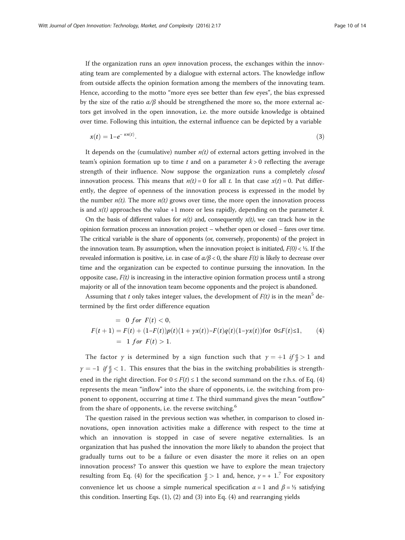<span id="page-9-0"></span>If the organization runs an open innovation process, the exchanges within the innovating team are complemented by a dialogue with external actors. The knowledge inflow from outside affects the opinion formation among the members of the innovating team. Hence, according to the motto "more eyes see better than few eyes", the bias expressed by the size of the ratio  $\alpha/\beta$  should be strengthened the more so, the more external actors get involved in the open innovation, i.e. the more outside knowledge is obtained over time. Following this intuition, the external influence can be depicted by a variable

$$
x(t) = 1 - e^{-\kappa n(t)}.\tag{3}
$$

It depends on the (cumulative) number  $n(t)$  of external actors getting involved in the team's opinion formation up to time t and on a parameter  $k > 0$  reflecting the average strength of their influence. Now suppose the organization runs a completely closed innovation process. This means that  $n(t) = 0$  for all t. In that case  $x(t) = 0$ . Put differently, the degree of openness of the innovation process is expressed in the model by the number  $n(t)$ . The more  $n(t)$  grows over time, the more open the innovation process is and  $x(t)$  approaches the value +1 more or less rapidly, depending on the parameter k.

On the basis of different values for  $n(t)$  and, consequently  $x(t)$ , we can track how in the opinion formation process an innovation project – whether open or closed – fares over time. The critical variable is the share of opponents (or, conversely, proponents) of the project in the innovation team. By assumption, when the innovation project is initiated,  $F(0) < \frac{1}{2}$ . If the revealed information is positive, i.e. in case of  $\alpha/\beta < 0$ , the share  $F(t)$  is likely to decrease over time and the organization can be expected to continue pursuing the innovation. In the opposite case,  $F(t)$  is increasing in the interactive opinion formation process until a strong majority or all of the innovation team become opponents and the project is abandoned.

Assuming that t only takes integer values, the development of  $F(t)$  is in the mean<sup>5</sup> determined by the first order difference equation

$$
= 0 \text{ for } F(t) < 0,
$$
  
\n
$$
F(t+1) = F(t) + (1 - F(t))p(t)(1 + \gamma x(t)) - F(t)q(t)(1 - \gamma x(t))
$$
 for  $0 \le F(t) \le 1$ , (4)  
\n
$$
= 1 \text{ for } F(t) > 1.
$$

The factor  $\gamma$  is determined by a sign function such that  $\gamma = +1$  if  $\frac{\alpha}{\beta} > 1$  and  $\gamma = -1$  if  $\frac{a}{\beta} < 1$ . This ensures that the bias in the switching probabilities is strengthened in the right direction. For  $0 \le F(t) \le 1$  the second summand on the r.h.s. of Eq. (4) represents the mean "inflow" into the share of opponents, i.e. the switching from proponent to opponent, occurring at time t. The third summand gives the mean "outflow" from the share of opponents, i.e. the reverse switching.<sup>6</sup>

The question raised in the previous section was whether, in comparison to closed innovations, open innovation activities make a difference with respect to the time at which an innovation is stopped in case of severe negative externalities. Is an organization that has pushed the innovation the more likely to abandon the project that gradually turns out to be a failure or even disaster the more it relies on an open innovation process? To answer this question we have to explore the mean trajectory resulting from Eq. (4) for the specification  $\frac{\alpha}{\beta} > 1$  and, hence,  $\gamma = +1$ .<sup>7</sup> For expository convenience let us choose a simple numerical specification  $\alpha = 1$  and  $\beta = \frac{1}{2}$  satisfying this condition. Inserting Eqs. ([1\)](#page-8-0), ([2\)](#page-8-0) and (3) into Eq. (4) and rearranging yields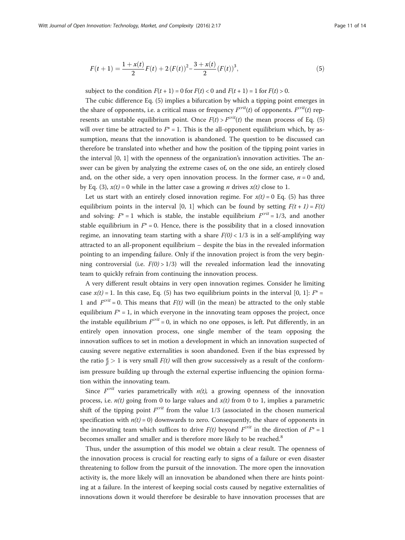<span id="page-10-0"></span>
$$
F(t+1) = \frac{1+x(t)}{2}F(t) + 2(F(t))^{2} - \frac{3+x(t)}{2}(F(t))^{3},
$$
\n(5)

subject to the condition  $F(t + 1) = 0$  for  $F(t) < 0$  and  $F(t + 1) = 1$  for  $F(t) > 0$ .

The cubic difference Eq. (5) implies a bifurcation by which a tipping point emerges in the share of opponents, i.e. a critical mass or frequency  $F^{crit}(t)$  of opponents.  $F^{crit}(t)$  represents an unstable equilibrium point. Once  $F(t) > F^{crit}(t)$  the mean process of Eq. (5) will over time be attracted to  $F^* = 1$ . This is the all-opponent equilibrium which, by assumption, means that the innovation is abandoned. The question to be discussed can therefore be translated into whether and how the position of the tipping point varies in the interval [0, 1] with the openness of the organization's innovation activities. The answer can be given by analyzing the extreme cases of, on the one side, an entirely closed and, on the other side, a very open innovation process. In the former case,  $n = 0$  and, by Eq. [\(3\)](#page-9-0),  $x(t) = 0$  while in the latter case a growing *n* drives  $x(t)$  close to 1.

Let us start with an entirely closed innovation regime. For  $x(t) = 0$  Eq. (5) has three equilibrium points in the interval [0, 1] which can be found by setting  $F(t + 1) = F(t)$ and solving:  $F^* = 1$  which is stable, the instable equilibrium  $F^{crit} = 1/3$ , and another stable equilibrium in  $F^* = 0$ . Hence, there is the possibility that in a closed innovation regime, an innovating team starting with a share  $F(0) < 1/3$  is in a self-amplifying way attracted to an all-proponent equilibrium – despite the bias in the revealed information pointing to an impending failure. Only if the innovation project is from the very beginning controversial (i.e.  $F(0) > 1/3$ ) will the revealed information lead the innovating team to quickly refrain from continuing the innovation process.

A very different result obtains in very open innovation regimes. Consider he limiting case  $x(t) = 1$ . In this case, Eq. (5) has two equilibrium points in the interval [0, 1]:  $F^* =$ 1 and  $F^{crit} = 0$ . This means that  $F(t)$  will (in the mean) be attracted to the only stable equilibrium  $F^* = 1$ , in which everyone in the innovating team opposes the project, once the instable equilibrium  $F^{crit} = 0$ , in which no one opposes, is left. Put differently, in an entirely open innovation process, one single member of the team opposing the innovation suffices to set in motion a development in which an innovation suspected of causing severe negative externalities is soon abandoned. Even if the bias expressed by the ratio  $\frac{\alpha}{\beta} > 1$  is very small  $F(t)$  will then grow successively as a result of the conformism pressure building up through the external expertise influencing the opinion formation within the innovating team.

Since  $F^{crit}$  varies parametrically with  $n(t)$ , a growing openness of the innovation process, i.e.  $n(t)$  going from 0 to large values and  $x(t)$  from 0 to 1, implies a parametric shift of the tipping point  $F^{crit}$  from the value 1/3 (associated in the chosen numerical specification with  $n(t) = 0$ ) downwards to zero. Consequently, the share of opponents in the innovating team which suffices to drive  $F(t)$  beyond  $F^{crit}$  in the direction of  $F^* = 1$ becomes smaller and smaller and is therefore more likely to be reached.<sup>8</sup>

Thus, under the assumption of this model we obtain a clear result. The openness of the innovation process is crucial for reacting early to signs of a failure or even disaster threatening to follow from the pursuit of the innovation. The more open the innovation activity is, the more likely will an innovation be abandoned when there are hints pointing at a failure. In the interest of keeping social costs caused by negative externalities of innovations down it would therefore be desirable to have innovation processes that are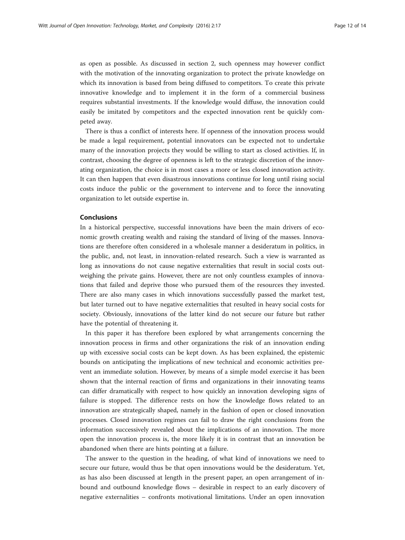as open as possible. As discussed in section 2, such openness may however conflict with the motivation of the innovating organization to protect the private knowledge on which its innovation is based from being diffused to competitors. To create this private innovative knowledge and to implement it in the form of a commercial business requires substantial investments. If the knowledge would diffuse, the innovation could easily be imitated by competitors and the expected innovation rent be quickly competed away.

There is thus a conflict of interests here. If openness of the innovation process would be made a legal requirement, potential innovators can be expected not to undertake many of the innovation projects they would be willing to start as closed activities. If, in contrast, choosing the degree of openness is left to the strategic discretion of the innovating organization, the choice is in most cases a more or less closed innovation activity. It can then happen that even disastrous innovations continue for long until rising social costs induce the public or the government to intervene and to force the innovating organization to let outside expertise in.

#### Conclusions

In a historical perspective, successful innovations have been the main drivers of economic growth creating wealth and raising the standard of living of the masses. Innovations are therefore often considered in a wholesale manner a desideratum in politics, in the public, and, not least, in innovation-related research. Such a view is warranted as long as innovations do not cause negative externalities that result in social costs outweighing the private gains. However, there are not only countless examples of innovations that failed and deprive those who pursued them of the resources they invested. There are also many cases in which innovations successfully passed the market test, but later turned out to have negative externalities that resulted in heavy social costs for society. Obviously, innovations of the latter kind do not secure our future but rather have the potential of threatening it.

In this paper it has therefore been explored by what arrangements concerning the innovation process in firms and other organizations the risk of an innovation ending up with excessive social costs can be kept down. As has been explained, the epistemic bounds on anticipating the implications of new technical and economic activities prevent an immediate solution. However, by means of a simple model exercise it has been shown that the internal reaction of firms and organizations in their innovating teams can differ dramatically with respect to how quickly an innovation developing signs of failure is stopped. The difference rests on how the knowledge flows related to an innovation are strategically shaped, namely in the fashion of open or closed innovation processes. Closed innovation regimes can fail to draw the right conclusions from the information successively revealed about the implications of an innovation. The more open the innovation process is, the more likely it is in contrast that an innovation be abandoned when there are hints pointing at a failure.

The answer to the question in the heading, of what kind of innovations we need to secure our future, would thus be that open innovations would be the desideratum. Yet, as has also been discussed at length in the present paper, an open arrangement of inbound and outbound knowledge flows – desirable in respect to an early discovery of negative externalities – confronts motivational limitations. Under an open innovation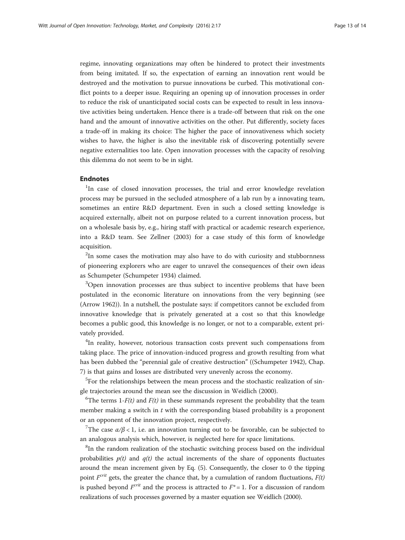regime, innovating organizations may often be hindered to protect their investments from being imitated. If so, the expectation of earning an innovation rent would be destroyed and the motivation to pursue innovations be curbed. This motivational conflict points to a deeper issue. Requiring an opening up of innovation processes in order to reduce the risk of unanticipated social costs can be expected to result in less innovative activities being undertaken. Hence there is a trade-off between that risk on the one hand and the amount of innovative activities on the other. Put differently, society faces a trade-off in making its choice: The higher the pace of innovativeness which society wishes to have, the higher is also the inevitable risk of discovering potentially severe negative externalities too late. Open innovation processes with the capacity of resolving this dilemma do not seem to be in sight.

### Endnotes

<sup>1</sup>In case of closed innovation processes, the trial and error knowledge revelation process may be pursued in the secluded atmosphere of a lab run by a innovating team, sometimes an entire R&D department. Even in such a closed setting knowledge is acquired externally, albeit not on purpose related to a current innovation process, but on a wholesale basis by, e.g., hiring staff with practical or academic research experience, into a R&D team. See Zellner [\(2003](#page-13-0)) for a case study of this form of knowledge acquisition.

 $2$ In some cases the motivation may also have to do with curiosity and stubbornness of pioneering explorers who are eager to unravel the consequences of their own ideas as Schumpeter (Schumpeter [1934\)](#page-13-0) claimed.

<sup>3</sup>Open innovation processes are thus subject to incentive problems that have been postulated in the economic literature on innovations from the very beginning (see (Arrow [1962\)](#page-13-0)). In a nutshell, the postulate says: if competitors cannot be excluded from innovative knowledge that is privately generated at a cost so that this knowledge becomes a public good, this knowledge is no longer, or not to a comparable, extent privately provided.

<sup>4</sup>In reality, however, notorious transaction costs prevent such compensations from taking place. The price of innovation-induced progress and growth resulting from what has been dubbed the "perennial gale of creative destruction" ((Schumpeter [1942\)](#page-13-0), Chap. 7) is that gains and losses are distributed very unevenly across the economy.

<sup>5</sup>For the relationships between the mean process and the stochastic realization of single trajectories around the mean see the discussion in Weidlich ([2000](#page-13-0)).

<sup>6</sup>The terms 1- $F(t)$  and  $F(t)$  in these summands represent the probability that the team member making a switch in  $t$  with the corresponding biased probability is a proponent or an opponent of the innovation project, respectively.

<sup>7</sup>The case  $\alpha/\beta$  < 1, i.e. an innovation turning out to be favorable, can be subjected to an analogous analysis which, however, is neglected here for space limitations.

<sup>8</sup>In the random realization of the stochastic switching process based on the individual probabilities  $p(t)$  and  $q(t)$  the actual increments of the share of opponents fluctuates around the mean increment given by Eq. [\(5](#page-10-0)). Consequently, the closer to 0 the tipping point  $F^{crit}$  gets, the greater the chance that, by a cumulation of random fluctuations,  $F(t)$ is pushed beyond  $F^{crit}$  and the process is attracted to  $F^* = 1$ . For a discussion of random realizations of such processes governed by a master equation see Weidlich [\(2000](#page-13-0)).